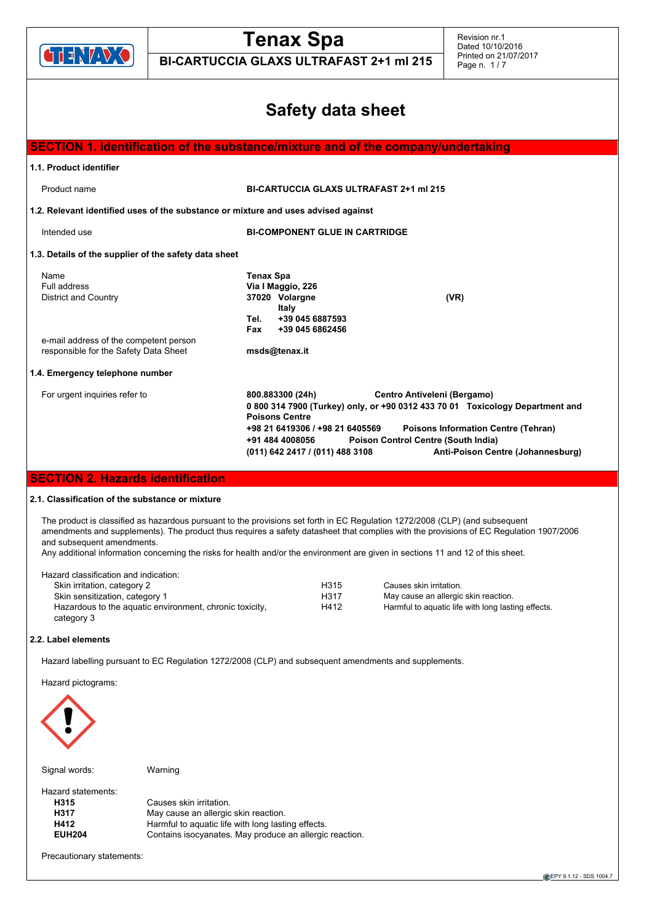

**BI-CARTUCCIA GLAXS ULTRAFAST 2+1 ml 215**

## **Safety data sheet**

| SECTION 1. Identification of the substance/mixture and of the company/undertaking      |                                                                                                                                                                                                                                                                                                                                                                                     |  |  |
|----------------------------------------------------------------------------------------|-------------------------------------------------------------------------------------------------------------------------------------------------------------------------------------------------------------------------------------------------------------------------------------------------------------------------------------------------------------------------------------|--|--|
| 1.1. Product identifier                                                                |                                                                                                                                                                                                                                                                                                                                                                                     |  |  |
| Product name                                                                           | <b>BI-CARTUCCIA GLAXS ULTRAFAST 2+1 ml 215</b>                                                                                                                                                                                                                                                                                                                                      |  |  |
| 1.2. Relevant identified uses of the substance or mixture and uses advised against     |                                                                                                                                                                                                                                                                                                                                                                                     |  |  |
| Intended use                                                                           | <b>BI-COMPONENT GLUE IN CARTRIDGE</b>                                                                                                                                                                                                                                                                                                                                               |  |  |
| 1.3. Details of the supplier of the safety data sheet                                  |                                                                                                                                                                                                                                                                                                                                                                                     |  |  |
| Name<br>Full address<br>District and Country<br>e-mail address of the competent person | <b>Tenax Spa</b><br>Via I Maggio, 226<br>37020 Volargne<br>(VR)<br>Italy<br>+39 045 6887593<br>Tel.<br>+39 045 6862456<br>Fax                                                                                                                                                                                                                                                       |  |  |
| responsible for the Safety Data Sheet                                                  | msds@tenax.it                                                                                                                                                                                                                                                                                                                                                                       |  |  |
| 1.4. Emergency telephone number                                                        |                                                                                                                                                                                                                                                                                                                                                                                     |  |  |
| For urgent inquiries refer to                                                          | 800.883300 (24h)<br>Centro Antiveleni (Bergamo)<br>0 800 314 7900 (Turkey) only, or +90 0312 433 70 01 Toxicology Department and<br><b>Poisons Centre</b><br>+98 21 6419306 / +98 21 6405569<br><b>Poisons Information Centre (Tehran)</b><br>+91 484 4008056<br><b>Poison Control Centre (South India)</b><br>Anti-Poison Centre (Johannesburg)<br>(011) 642 2417 / (011) 488 3108 |  |  |

#### **SECTION 2. Hazards identification**

#### **2.1. Classification of the substance or mixture**

The product is classified as hazardous pursuant to the provisions set forth in EC Regulation 1272/2008 (CLP) (and subsequent amendments and supplements). The product thus requires a safety datasheet that complies with the provisions of EC Regulation 1907/2006 and subsequent amendments.

Any additional information concerning the risks for health and/or the environment are given in sections 11 and 12 of this sheet.

| Hazard classification and indication:                   |      |                                                    |
|---------------------------------------------------------|------|----------------------------------------------------|
| Skin irritation, category 2                             | H315 | Causes skin irritation.                            |
| Skin sensitization, category 1                          | H317 | May cause an allergic skin reaction.               |
| Hazardous to the aquatic environment, chronic toxicity, | H412 | Harmful to aquatic life with long lasting effects. |
| category 3                                              |      |                                                    |

#### **2.2. Label elements**

Hazard labelling pursuant to EC Regulation 1272/2008 (CLP) and subsequent amendments and supplements.

Hazard pictograms:



Signal words: Warning

Hazard statements: **H315** Causes skin irritation.<br> **H317** May cause an allergic May cause an allergic skin reaction. **H412** Harmful to aquatic life with long lasting effects.<br>**EUH204** Contains isocyanates. May produce an allergic Contains isocyanates. May produce an allergic reaction.

Precautionary statements: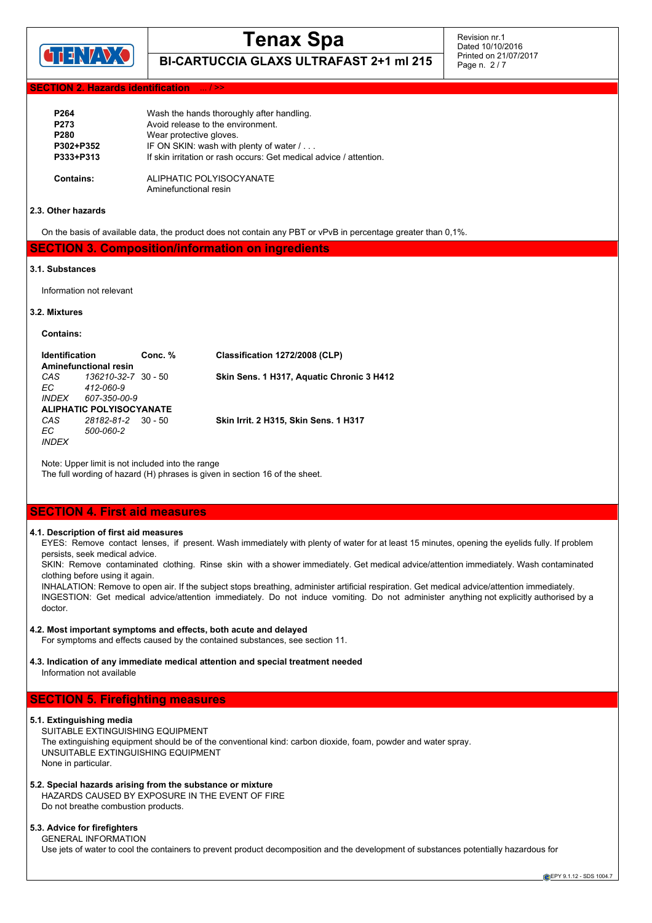

**BI-CARTUCCIA GLAXS ULTRAFAST 2+1 ml 215**

Revision nr.1 Dated 10/10/2016 Printed on 21/07/2017 Page n. 2 / 7

#### **Hazards identification**

| P <sub>264</sub> | Wash the hands thoroughly after handling.                          |
|------------------|--------------------------------------------------------------------|
| P <sub>273</sub> | Avoid release to the environment.                                  |
| P280             | Wear protective gloves.                                            |
| P302+P352        | IF ON SKIN: wash with plenty of water /                            |
| P333+P313        | If skin irritation or rash occurs: Get medical advice / attention. |
| Contains:        | ALIPHATIC POLYISOCYANATE                                           |
|                  | Aminefunctional resin                                              |

#### **2.3. Other hazards**

On the basis of available data, the product does not contain any PBT or vPvB in percentage greater than 0,1%.

#### **SECTION 3. Composition/information on ingredients**

#### **3.1. Substances**

Information not relevant

#### **3.2. Mixtures**

**Contains:**

| <b>Identification</b><br><b>Aminefunctional resin</b> |                                          | Conc. % | Classification 1272/2008 (CLP)               |
|-------------------------------------------------------|------------------------------------------|---------|----------------------------------------------|
| CAS<br>EC.                                            | 136210-32-7 30 - 50<br>412-060-9         |         | Skin Sens. 1 H317, Aquatic Chronic 3 H412    |
| <i>INDEX</i>                                          | 607-350-00-9<br>ALIPHATIC POLYISOCYANATE |         |                                              |
| CAS<br>EC.<br><b>INDEX</b>                            | 28182-81-2 30 - 50<br>500-060-2          |         | <b>Skin Irrit. 2 H315. Skin Sens. 1 H317</b> |

Note: Upper limit is not included into the range

The full wording of hazard (H) phrases is given in section 16 of the sheet.

#### **SECTION 4. First aid measures**

#### **4.1. Description of first aid measures**

EYES: Remove contact lenses, if present. Wash immediately with plenty of water for at least 15 minutes, opening the eyelids fully. If problem persists, seek medical advice.

SKIN: Remove contaminated clothing. Rinse skin with a shower immediately. Get medical advice/attention immediately. Wash contaminated clothing before using it again.

INHALATION: Remove to open air. If the subject stops breathing, administer artificial respiration. Get medical advice/attention immediately. INGESTION: Get medical advice/attention immediately. Do not induce vomiting. Do not administer anything not explicitly authorised by a doctor.

#### **4.2. Most important symptoms and effects, both acute and delayed**

For symptoms and effects caused by the contained substances, see section 11.

#### **4.3. Indication of any immediate medical attention and special treatment needed** Information not available

#### **SECTION 5. Firefighting measures**

#### **5.1. Extinguishing media**

SUITABLE EXTINGUISHING EQUIPMENT The extinguishing equipment should be of the conventional kind: carbon dioxide, foam, powder and water spray. UNSUITABLE EXTINGUISHING EQUIPMENT None in particular.

#### **5.2. Special hazards arising from the substance or mixture**

HAZARDS CAUSED BY EXPOSURE IN THE EVENT OF FIRE Do not breathe combustion products.

#### **5.3. Advice for firefighters** GENERAL INFORMATION

Use jets of water to cool the containers to prevent product decomposition and the development of substances potentially hazardous for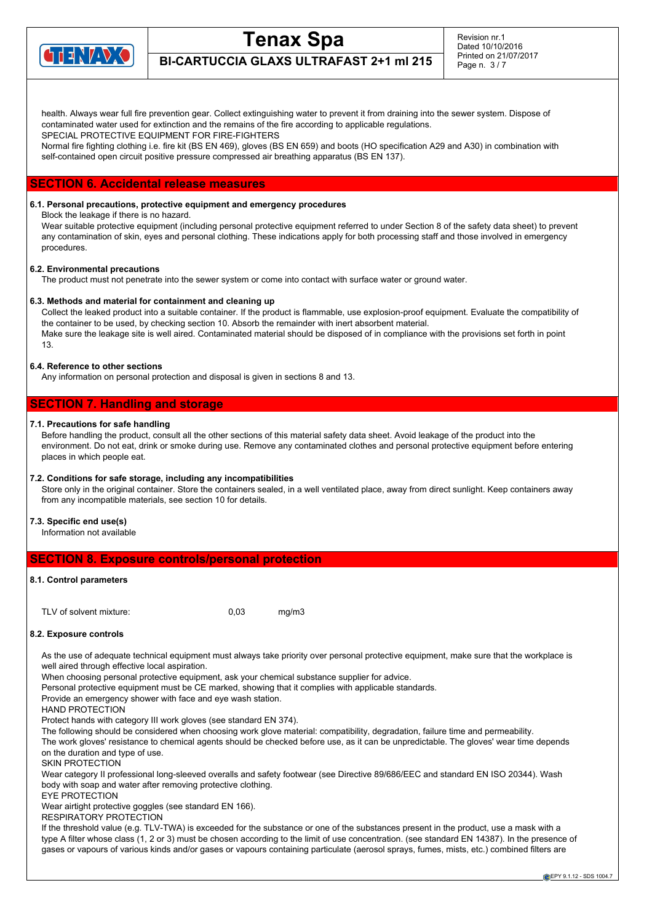

**BI-CARTUCCIA GLAXS ULTRAFAST 2+1 ml 215**

health. Always wear full fire prevention gear. Collect extinguishing water to prevent it from draining into the sewer system. Dispose of contaminated water used for extinction and the remains of the fire according to applicable regulations.

SPECIAL PROTECTIVE EQUIPMENT FOR FIRE-FIGHTERS

Normal fire fighting clothing i.e. fire kit (BS EN 469), gloves (BS EN 659) and boots (HO specification A29 and A30) in combination with self-contained open circuit positive pressure compressed air breathing apparatus (BS EN 137).

#### **SECTION 6. Accidental release measures**

#### **6.1. Personal precautions, protective equipment and emergency procedures**

Block the leakage if there is no hazard.

Wear suitable protective equipment (including personal protective equipment referred to under Section 8 of the safety data sheet) to prevent any contamination of skin, eyes and personal clothing. These indications apply for both processing staff and those involved in emergency procedures.

#### **6.2. Environmental precautions**

The product must not penetrate into the sewer system or come into contact with surface water or ground water.

#### **6.3. Methods and material for containment and cleaning up**

Collect the leaked product into a suitable container. If the product is flammable, use explosion-proof equipment. Evaluate the compatibility of the container to be used, by checking section 10. Absorb the remainder with inert absorbent material. Make sure the leakage site is well aired. Contaminated material should be disposed of in compliance with the provisions set forth in point 13.

#### **6.4. Reference to other sections**

Any information on personal protection and disposal is given in sections 8 and 13.

#### **SECTION 7. Handling and storage**

#### **7.1. Precautions for safe handling**

Before handling the product, consult all the other sections of this material safety data sheet. Avoid leakage of the product into the environment. Do not eat, drink or smoke during use. Remove any contaminated clothes and personal protective equipment before entering places in which people eat.

#### **7.2. Conditions for safe storage, including any incompatibilities**

Store only in the original container. Store the containers sealed, in a well ventilated place, away from direct sunlight. Keep containers away from any incompatible materials, see section 10 for details.

#### **7.3. Specific end use(s)**

Information not available

#### **SECTION 8. Exposure controls/personal protection**

#### **8.1. Control parameters**

TLV of solvent mixture: 0,03 mg/m3

#### **8.2. Exposure controls**

As the use of adequate technical equipment must always take priority over personal protective equipment, make sure that the workplace is well aired through effective local aspiration.

When choosing personal protective equipment, ask your chemical substance supplier for advice.

Personal protective equipment must be CE marked, showing that it complies with applicable standards.

Provide an emergency shower with face and eye wash station.

HAND PROTECTION

Protect hands with category III work gloves (see standard EN 374).

The following should be considered when choosing work glove material: compatibility, degradation, failure time and permeability.

The work gloves' resistance to chemical agents should be checked before use, as it can be unpredictable. The gloves' wear time depends on the duration and type of use.

SKIN PROTECTION

Wear category II professional long-sleeved overalls and safety footwear (see Directive 89/686/EEC and standard EN ISO 20344). Wash body with soap and water after removing protective clothing.

EYE PROTECTION

Wear airtight protective goggles (see standard EN 166).

RESPIRATORY PROTECTION

If the threshold value (e.g. TLV-TWA) is exceeded for the substance or one of the substances present in the product, use a mask with a type A filter whose class (1, 2 or 3) must be chosen according to the limit of use concentration. (see standard EN 14387). In the presence of gases or vapours of various kinds and/or gases or vapours containing particulate (aerosol sprays, fumes, mists, etc.) combined filters are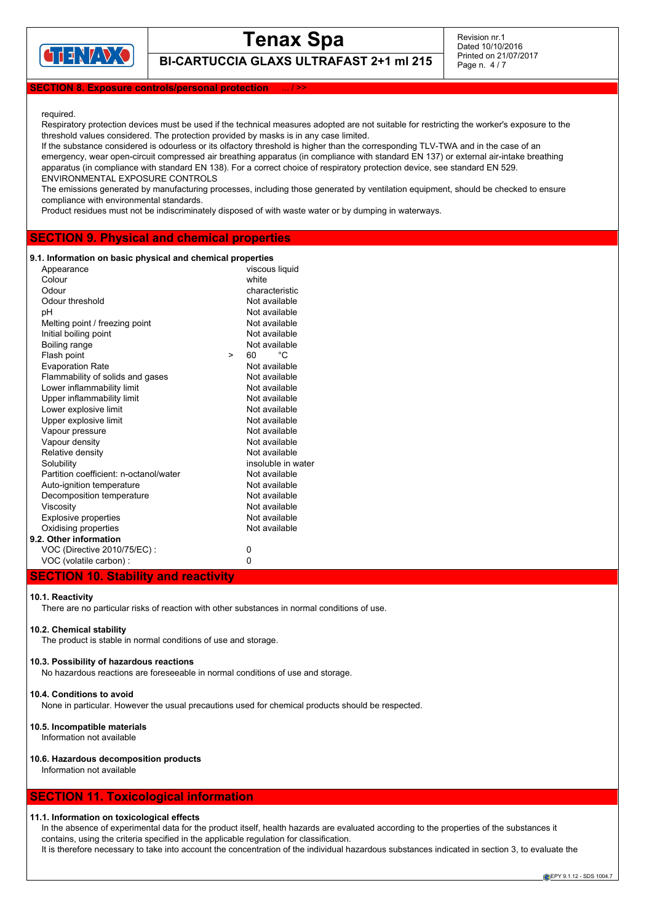

## **Tenax Spa BI-CARTUCCIA GLAXS ULTRAFAST 2+1 ml 215**

Revision nr.1 Dated 10/10/2016 Printed on 21/07/2017 Page n. 4 / 7

#### **SECTION 8. Exposure controls/personal protection** ... / >>

#### required.

Respiratory protection devices must be used if the technical measures adopted are not suitable for restricting the worker's exposure to the threshold values considered. The protection provided by masks is in any case limited.

If the substance considered is odourless or its olfactory threshold is higher than the corresponding TLV-TWA and in the case of an emergency, wear open-circuit compressed air breathing apparatus (in compliance with standard EN 137) or external air-intake breathing apparatus (in compliance with standard EN 138). For a correct choice of respiratory protection device, see standard EN 529. ENVIRONMENTAL EXPOSURE CONTROLS

The emissions generated by manufacturing processes, including those generated by ventilation equipment, should be checked to ensure compliance with environmental standards.

Product residues must not be indiscriminately disposed of with waste water or by dumping in waterways.

#### **SECTION 9. Physical and chemical properties**

#### **9.1. Information on basic physical and chemical properties**

| Appearance                             |        | viscous liquid     |
|----------------------------------------|--------|--------------------|
| Colour                                 |        | white              |
| Odour                                  |        | characteristic     |
| Odour threshold                        |        | Not available      |
| рH                                     |        | Not available      |
| Melting point / freezing point         |        | Not available      |
| Initial boiling point                  |        | Not available      |
| Boiling range                          |        | Not available      |
| Flash point                            | $\geq$ | °C<br>60           |
| <b>Evaporation Rate</b>                |        | Not available      |
| Flammability of solids and gases       |        | Not available      |
| Lower inflammability limit             |        | Not available      |
| Upper inflammability limit             |        | Not available      |
| Lower explosive limit                  |        | Not available      |
| Upper explosive limit                  |        | Not available      |
| Vapour pressure                        |        | Not available      |
| Vapour density                         |        | Not available      |
| Relative density                       |        | Not available      |
| Solubility                             |        | insoluble in water |
| Partition coefficient: n-octanol/water |        | Not available      |
| Auto-ignition temperature              |        | Not available      |
| Decomposition temperature              |        | Not available      |
| Viscosity                              |        | Not available      |
| Explosive properties                   |        | Not available      |
| Oxidising properties                   |        | Not available      |
| 9.2. Other information                 |        |                    |
| VOC (Directive 2010/75/EC) :           |        | 0                  |
| VOC (volatile carbon) :                |        | 0                  |
|                                        |        |                    |

#### **SECTION 10. Stability and reactivity**

#### **10.1. Reactivity**

There are no particular risks of reaction with other substances in normal conditions of use.

#### **10.2. Chemical stability**

The product is stable in normal conditions of use and storage.

#### **10.3. Possibility of hazardous reactions**

No hazardous reactions are foreseeable in normal conditions of use and storage.

#### **10.4. Conditions to avoid**

None in particular. However the usual precautions used for chemical products should be respected.

#### **10.5. Incompatible materials**

Information not available

#### **10.6. Hazardous decomposition products**

Information not available

#### **SECTION 11. Toxicological information**

#### **11.1. Information on toxicological effects**

In the absence of experimental data for the product itself, health hazards are evaluated according to the properties of the substances it contains, using the criteria specified in the applicable regulation for classification.

It is therefore necessary to take into account the concentration of the individual hazardous substances indicated in section 3, to evaluate the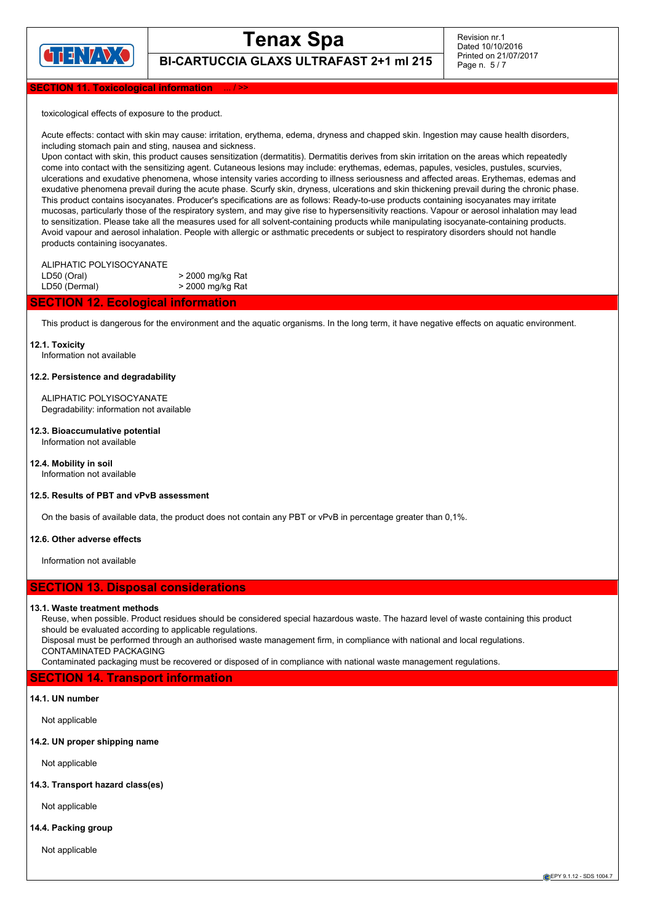

Revision nr.1 Dated 10/10/2016 Printed on 21/07/2017 Page n. 5 / 7

**BI-CARTUCCIA GLAXS ULTRAFAST 2+1 ml 215**

#### **TION 11. Toxicological information**

toxicological effects of exposure to the product.

Acute effects: contact with skin may cause: irritation, erythema, edema, dryness and chapped skin. Ingestion may cause health disorders, including stomach pain and sting, nausea and sickness.

Upon contact with skin, this product causes sensitization (dermatitis). Dermatitis derives from skin irritation on the areas which repeatedly come into contact with the sensitizing agent. Cutaneous lesions may include: erythemas, edemas, papules, vesicles, pustules, scurvies, ulcerations and exudative phenomena, whose intensity varies according to illness seriousness and affected areas. Erythemas, edemas and exudative phenomena prevail during the acute phase. Scurfy skin, dryness, ulcerations and skin thickening prevail during the chronic phase. This product contains isocyanates. Producer's specifications are as follows: Ready-to-use products containing isocyanates may irritate mucosas, particularly those of the respiratory system, and may give rise to hypersensitivity reactions. Vapour or aerosol inhalation may lead to sensitization. Please take all the measures used for all solvent-containing products while manipulating isocyanate-containing products. Avoid vapour and aerosol inhalation. People with allergic or asthmatic precedents or subject to respiratory disorders should not handle products containing isocyanates.

#### ALIPHATIC POLYISOCYANATE

 $LD50$  (Oral)  $\rightarrow$  2000 mg/kg Rat LD50 (Dermal)  $>$  2000 mg/kg Rat

#### **SECTION 12. Ecological information**

This product is dangerous for the environment and the aquatic organisms. In the long term, it have negative effects on aquatic environment.

#### **12.1. Toxicity**

Information not available

#### **12.2. Persistence and degradability**

ALIPHATIC POLYISOCYANATE Degradability: information not available

#### **12.3. Bioaccumulative potential**

Information not available

**12.4. Mobility in soil** Information not available

#### **12.5. Results of PBT and vPvB assessment**

On the basis of available data, the product does not contain any PBT or vPvB in percentage greater than 0,1%.

#### **12.6. Other adverse effects**

Information not available

#### **SECTION 13. Disposal considerations**

#### **13.1. Waste treatment methods**

Reuse, when possible. Product residues should be considered special hazardous waste. The hazard level of waste containing this product should be evaluated according to applicable regulations.

Disposal must be performed through an authorised waste management firm, in compliance with national and local regulations. CONTAMINATED PACKAGING

Contaminated packaging must be recovered or disposed of in compliance with national waste management regulations.

#### **SECTION 14. Transport information**

#### **14.1. UN number**

Not applicable

#### **14.2. UN proper shipping name**

Not applicable

#### **14.3. Transport hazard class(es)**

Not applicable

#### **14.4. Packing group**

Not applicable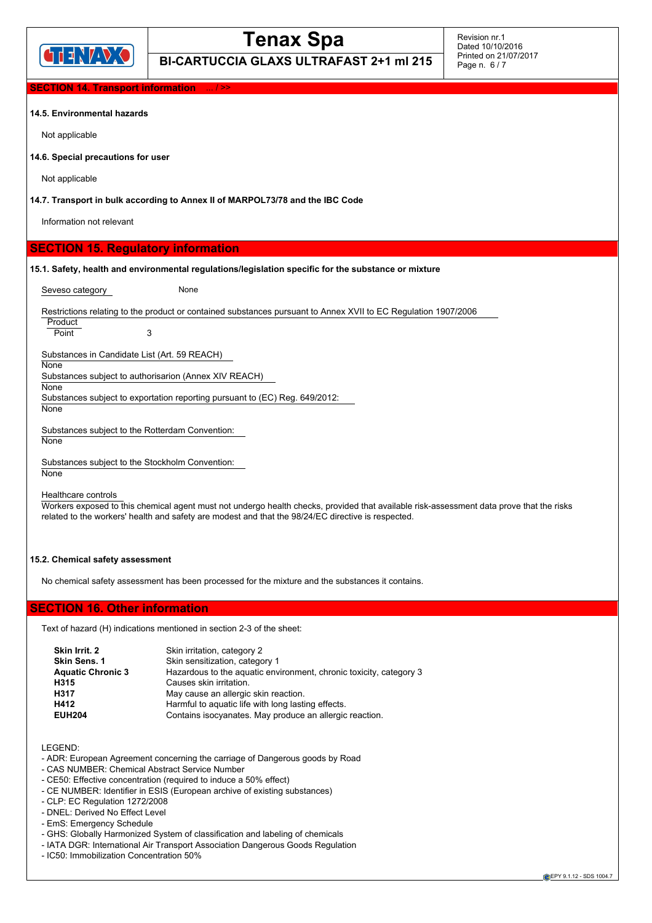

Revision nr.1 Dated 10/10/2016 Printed on 21/07/2017 Page n. 6 / 7

## **BI-CARTUCCIA GLAXS ULTRAFAST 2+1 ml 215**

**TION 14. Transport information** 

#### **14.5. Environmental hazards**

Not applicable

**14.6. Special precautions for user**

Not applicable

**14.7. Transport in bulk according to Annex II of MARPOL73/78 and the IBC Code**

Information not relevant

#### **SECTION 15. Regulatory information**

**15.1. Safety, health and environmental regulations/legislation specific for the substance or mixture**

Seveso category **None** 

Restrictions relating to the product or contained substances pursuant to Annex XVII to EC Regulation 1907/2006

Product Point 3

Substances in Candidate List (Art. 59 REACH)

None

Substances subject to authorisarion (Annex XIV REACH)

**None** 

Substances subject to exportation reporting pursuant to (EC) Reg. 649/2012:

None

Substances subject to the Rotterdam Convention: **None** 

Substances subject to the Stockholm Convention:

**None** 

Healthcare controls

Workers exposed to this chemical agent must not undergo health checks, provided that available risk-assessment data prove that the risks related to the workers' health and safety are modest and that the 98/24/EC directive is respected.

#### **15.2. Chemical safety assessment**

No chemical safety assessment has been processed for the mixture and the substances it contains.

#### **SECTION 16. Other information**

Text of hazard (H) indications mentioned in section 2-3 of the sheet:

| Skin Irrit. 2            | Skin irritation, category 2                                        |
|--------------------------|--------------------------------------------------------------------|
| <b>Skin Sens. 1</b>      | Skin sensitization, category 1                                     |
| <b>Aquatic Chronic 3</b> | Hazardous to the aquatic environment, chronic toxicity, category 3 |
| H315                     | Causes skin irritation.                                            |
| H317                     | May cause an allergic skin reaction.                               |
| H412                     | Harmful to aquatic life with long lasting effects.                 |
| <b>EUH204</b>            | Contains isocyanates. May produce an allergic reaction.            |

LEGEND:

- ADR: European Agreement concerning the carriage of Dangerous goods by Road
- CAS NUMBER: Chemical Abstract Service Number
- CE50: Effective concentration (required to induce a 50% effect)
- CE NUMBER: Identifier in ESIS (European archive of existing substances)
- CLP: EC Regulation 1272/2008
- DNEL: Derived No Effect Level
- EmS: Emergency Schedule
- GHS: Globally Harmonized System of classification and labeling of chemicals
- IATA DGR: International Air Transport Association Dangerous Goods Regulation
- IC50: Immobilization Concentration 50%